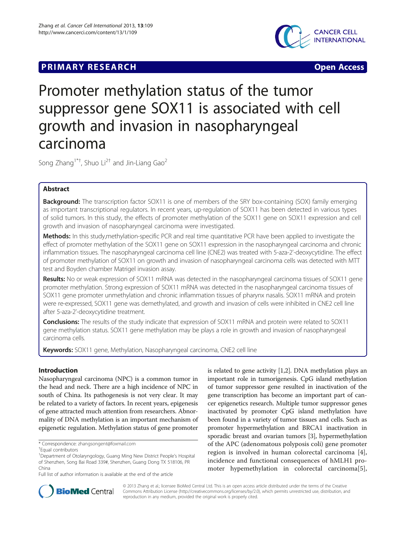## **PRIMARY RESEARCH CONSTRUCTION CONSTRUCTS**



# Promoter methylation status of the tumor suppressor gene SOX11 is associated with cell growth and invasion in nasopharyngeal carcinoma

Song Zhang<sup>1\*†</sup>, Shuo Li<sup>2†</sup> and Jin-Liang Gao<sup>2</sup>

## Abstract

**Background:** The transcription factor SOX11 is one of members of the SRY box-containing (SOX) family emerging as important transcriptional regulators. In recent years, up-regulation of SOX11 has been detected in various types of solid tumors. In this study, the effects of promoter methylation of the SOX11 gene on SOX11 expression and cell growth and invasion of nasopharyngeal carcinoma were investigated.

Methods: In this study, methylation-specific PCR and real time quantitative PCR have been applied to investigate the effect of promoter methylation of the SOX11 gene on SOX11 expression in the nasopharyngeal carcinoma and chronic inflammation tissues. The nasopharyngeal carcinoma cell line (CNE2) was treated with 5-aza-2'-deoxycytidine. The effect of promoter methylation of SOX11 on growth and invasion of nasopharyngeal carcinoma cells was detected with MTT test and Boyden chamber Matrigel invasion assay.

Results: No or weak expression of SOX11 mRNA was detected in the nasopharyngeal carcinoma tissues of SOX11 gene promoter methylation. Strong expression of SOX11 mRNA was detected in the nasopharyngeal carcinoma tissues of SOX11 gene promoter unmethylation and chronic inflammation tissues of pharynx nasalis. SOX11 mRNA and protein were re-expressed, SOX11 gene was demethylated, and growth and invasion of cells were inhibited in CNE2 cell line after 5-aza-2'-deoxycytidine treatment.

Conclusions: The results of the study indicate that expression of SOX11 mRNA and protein were related to SOX11 gene methylation status. SOX11 gene methylation may be plays a role in growth and invasion of nasopharyngeal carcinoma cells.

Keywords: SOX11 gene, Methylation, Nasopharyngeal carcinoma, CNE2 cell line

## Introduction

Nasopharyngeal carcinoma (NPC) is a common tumor in the head and neck. There are a high incidence of NPC in south of China. Its pathogenesis is not very clear. It may be related to a variety of factors. In recent years, epigenesis of gene attracted much attention from researchers. Abnormality of DNA methylation is an important mechanism of epigenetic regulation. Methylation status of gene promoter

is related to gene activity [\[1,2\]](#page-6-0). DNA methylation plays an important role in tumorigenesis. CpG island methylation of tumor suppressor gene resulted in inactivation of the gene transcription has become an important part of cancer epigenetics research. Multiple tumor suppressor genes inactivated by promoter CpG island methylation have been found in a variety of tumor tissues and cells. Such as promoter hypermethylation and BRCA1 inactivation in sporadic breast and ovarian tumors [\[3\]](#page-6-0), hypermethylation of the APC (adenomatous polyposis coli) gene promoter region is involved in human colorectal carcinoma [\[4](#page-6-0)], incidence and functional consequences of hMLH1 promoter hypemethylation in colorectal carcinoma[\[5](#page-6-0)],



© 2013 Zhang et al.; licensee BioMed Central Ltd. This is an open access article distributed under the terms of the Creative Commons Attribution License [\(http://creativecommons.org/licenses/by/2.0\)](http://creativecommons.org/licenses/by/2.0), which permits unrestricted use, distribution, and reproduction in any medium, provided the original work is properly cited.

<sup>\*</sup> Correspondence: [zhangsongent@foxmail.com](mailto:zhangsongent@foxmail.com) †

<sup>&</sup>lt;sup>+</sup>Equal contributors

<sup>&</sup>lt;sup>1</sup>Department of Otolaryngology, Guang Ming New District People's Hospital of Shenzhen, Song Bai Road 339#, Shenzhen, Guang Dong TX 518106, PR China

Full list of author information is available at the end of the article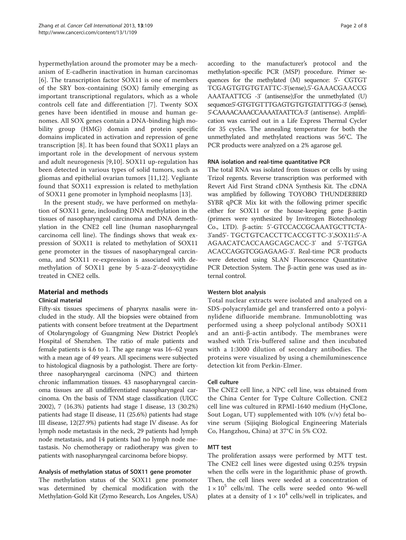hypermethylation around the promoter may be a mechanism of E-cadherin inactivation in human carcinomas [[6\]](#page-6-0). The transcription factor SOX11 is one of members of the SRY box-containing (SOX) family emerging as important transcriptional regulators, which as a whole controls cell fate and differentiation [\[7](#page-7-0)]. Twenty SOX genes have been identified in mouse and human genomes. All SOX genes contain a DNA-binding high mobility group (HMG) domain and protein specific domains implicated in activation and repression of gene transcription [[8\]](#page-7-0). It has been found that SOX11 plays an important role in the development of nervous system and adult neurogenesis [[9,10](#page-7-0)]. SOX11 up-regulation has been detected in various types of solid tumors, such as gliomas and epithelial ovarian tumors [[11,12\]](#page-7-0). Vegliante found that SOX11 expression is related to methylation of SOX11 gene promoter in lymphoid neoplasms [\[13](#page-7-0)].

In the present study, we have performed on methylation of SOX11 gene, inclouding DNA methylation in the tissues of nasopharyngeal carcinoma and DNA demethylation in the CNE2 cell line (human nasopharyngeal carcinoma cell line). The findings shows that weak expression of SOX11 is related to methylation of SOX11 gene promoter in the tissues of nasopharyngeal carcinoma, and SOX11 re-expression is associated with demethylation of SOX11 gene by 5-aza-2'-deoxycytidine treated in CNE2 cells.

## Material and methods

#### Clinical material

Fifty-six tissues specimens of pharynx nasalis were included in the study. All the biopsies were obtained from patients with consent before treatment at the Department of Otolaryngology of Guangming New District People's Hospital of Shenzhen. The ratio of male patients and female patients is 4.6 to 1. The age range was 16–62 years with a mean age of 49 years. All specimens were subjected to histological diagnosis by a pathologist. There are fortythree nasopharyngeal carcinoma (NPC) and thirteen chronic inflammation tissues. 43 nasopharyngeal carcinoma tissues are all undifferentiated nasopharyngeal carcinoma. On the basis of TNM stage classification (UICC 2002), 7 (16.3%) patients had stage I disease, 13 (30.2%) patients had stage II disease, 11 (25.6%) patients had stage III disease, 12(27.9%) patients had stage IV disease. As for lymph node metastasis in the neck, 29 patients had lymph node metastasis, and 14 patients had no lymph node metastasis. No chemotherapy or radiotherapy was given to patients with nasopharyngeal carcinoma before biopsy.

## Analysis of methylation status of SOX11 gene promoter

The methylation status of the SOX11 gene promoter was determined by chemical modification with the Methylation-Gold Kit (Zymo Research, Los Angeles, USA)

according to the manufacturer's protocol and the methylation-specific PCR (MSP) procedure. Primer sequences for the methylated (M) sequence: 5'- CGTGT TCGAGTGTGTGTATTC-3'(sense),5'-GAAACGAACCG AAATAATTCG -3' (antisense);For the unmethylated (U) sequence:5'-GTGTGTTTGAGTGTGTGTATTTGG-3' (sense), 5'-CAAAACAAACCAAAATAATTCA-3' (antisense). Amplification was carried out in a Life Express Thermal Cycler for 35 cycles. The annealing temperature for both the unmethylated and methylated reactions was 56°C. The PCR products were analyzed on a 2% agarose gel.

#### RNA isolation and real-time quantitative PCR

The total RNA was isolated from tissues or cells by using Trizol regents. Reverse transcription was performed with Revert Aid First Strand cDNA Synthesis Kit. The cDNA was amplified by following TOYOBO THUNDERBIRD SYBR qPCR Mix kit with the following primer specific either for SOX11 or the house-keeping gene β-actin (primers were synthesized by Invitrogen Biotechnology Co., LTD). β-actin: 5'-GTCCACCGCAAATGCTTCTA-3'and5'- TGCTGTCACCTTCACCGTTC-3',SOX11:5'-A AGAACATCACCAAGCAGCACC-3' and 5'-TGTGA ACACCAGGTCGGAGAAG-3'. Real-time PCR products were detected using SLAN Fluorescence Quantitative PCR Detection System. The β-actin gene was used as internal control.

#### Western blot analysis

Total nuclear extracts were isolated and analyzed on a SDS-polyacrylamide gel and transferred onto a polyvinylidene difluoride membrane. Immunoblotting was performed using a sheep polyclonal antibody SOX11 and an anti-β-actin antibody. The membranes were washed with Tris-buffered saline and then incubated with a 1:3000 dilution of secondary antibodies. The proteins were visualized by using a chemiluminescence detection kit from Perkin-Elmer.

#### Cell culture

The CNE2 cell line, a NPC cell line, was obtained from the China Center for Type Culture Collection. CNE2 cell line was cultured in RPMI-1640 medium (HyClone, Sout Logan, UT) supplemented with 10% (v/v) fetal bovine serum (Sijiqing Biological Engineering Materials Co, Hangzhou, China) at 37°C in 5% CO2.

#### MTT test

The proliferation assays were performed by MTT test. The CNE2 cell lines were digested using 0.25% trypsin when the cells were in the logarithmic phase of growth. Then, the cell lines were seeded at a concentration of  $1 \times 10^5$  cells/ml. The cells were seeded onto 96-well plates at a density of  $1 \times 10^4$  cells/well in triplicates, and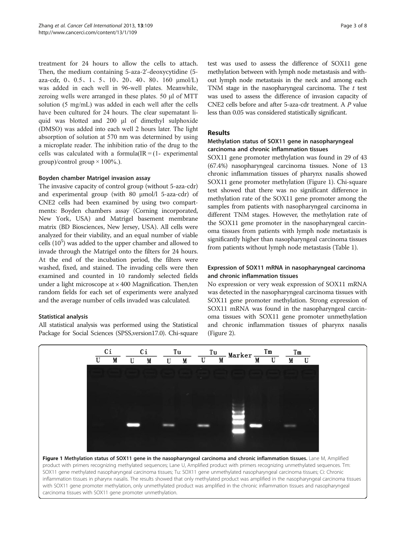treatment for 24 hours to allow the cells to attach. Then, the medium containing 5-aza-2'-deoxycytidine (5 aza-cdr, 0、0.5、1、5、10、20、40、80、160 μmol/L) was added in each well in 96-well plates. Meanwhile, zeroing wells were arranged in these plates. 50 μl of MTT solution (5 mg/mL) was added in each well after the cells have been cultured for 24 hours. The clear supernatant liquid was blotted and 200 μl of dimethyl sulphoxide (DMSO) was added into each well 2 hours later. The light absorption of solution at 570 nm was determined by using a microplate reader. The inhibition ratio of the drug to the cells was calculated with a formula  $IR = (1 - experimenta)$ group)/control group  $\times$  100%.).

#### Boyden chamber Matrigel invasion assay

The invasive capacity of control group (without 5-aza-cdr) and experimental group (with 80 μmol/l 5-aza-cdr) of CNE2 cells had been examined by using two compartments: Boyden chambers assay (Corning incorporated, New York, USA) and Matrigel basement membrane matrix (BD Biosciences, New Jersey, USA). All cells were analyzed for their viability, and an equal number of viable cells  $(10^5)$  was added to the upper chamber and allowed to invade through the Matrigel onto the filters for 24 hours. At the end of the incubation period, the filters were washed, fixed, and stained. The invading cells were then examined and counted in 10 randomly selected fields under a light microscope at  $\times$  400 Magnification. Then, ten random fields for each set of experiments were analyzed and the average number of cells invaded was calculated.

#### Statistical analysis

All statistical analysis was performed using the Statistical Package for Social Sciences (SPSS,version17.0). Chi-square test was used to assess the difference of SOX11 gene methylation between with lymph node metastasis and without lymph node metastasis in the neck and among each TNM stage in the nasopharyngeal carcinoma. The  $t$  test was used to assess the difference of invasion capacity of CNE2 cells before and after 5-aza-cdr treatment. A P value less than 0.05 was considered statistically significant.

#### Results

#### Methylation status of SOX11 gene in nasopharyngeal carcinoma and chronic inflammation tissues

SOX11 gene promoter methylation was found in 29 of 43 (67.4%) nasopharyngeal carcinoma tissues. None of 13 chronic inflammation tissues of pharynx nasalis showed SOX11 gene promoter methylation (Figure 1). Chi-square test showed that there was no significant difference in methylation rate of the SOX11 gene promoter among the samples from patients with nasopharyngeal carcinoma in different TNM stages. However, the methylation rate of the SOX11 gene promoter in the nasopharyngeal carcinoma tissues from patients with lymph node metastasis is significantly higher than nasopharyngeal carcinoma tissues from patients without lymph node metastasis (Table [1](#page-3-0)).

#### Expression of SOX11 mRNA in nasopharyngeal carcinoma and chronic inflammation tissues

No expression or very weak expression of SOX11 mRNA was detected in the nasopharyngeal carcinoma tissues with SOX11 gene promoter methylation. Strong expression of SOX11 mRNA was found in the nasopharyngeal carcinoma tissues with SOX11 gene promoter unmethylation and chronic inflammation tissues of pharynx nasalis (Figure [2](#page-3-0)).



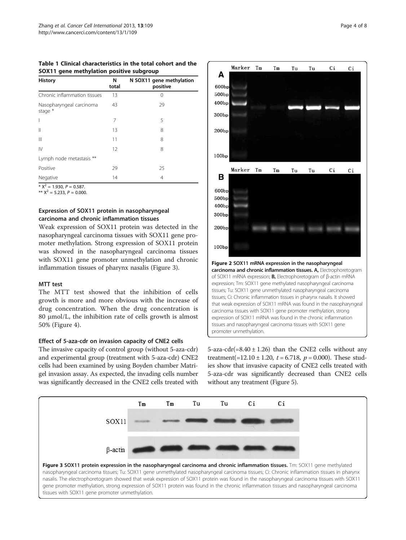<span id="page-3-0"></span>Table 1 Clinical characteristics in the total cohort and the SOX11 gene methylation positive subgroup

| <b>History</b>                      | N<br>total | N SOX11 gene methylation<br>positive |
|-------------------------------------|------------|--------------------------------------|
| Chronic inflammation tissues        | 13         | 0                                    |
| Nasopharyngeal carcinoma<br>stage * | 43         | 29                                   |
| I                                   | 7          | 5                                    |
| $\mathbb{I}$                        | 13         | 8                                    |
| $\mathbb{H}$                        | 11         | 8                                    |
| $\mathsf{N}$                        | 12         | 8                                    |
| Lymph node metastasis **            |            |                                      |
| Positive                            | 29         | 25                                   |
| Negative                            | 14         | 4                                    |

 $\overline{+ X^2}$  = 1.930, P = 0.587.

\*\*  $X^2 = 5.233$ ,  $P = 0.000$ .

## Expression of SOX11 protein in nasopharyngeal carcinoma and chronic inflammation tissues

Weak expression of SOX11 protein was detected in the nasopharyngeal carcinoma tissues with SOX11 gene promoter methylation. Strong expression of SOX11 protein was showed in the nasopharyngeal carcinoma tissues with SOX11 gene promoter unmethylation and chronic inflammation tissues of pharynx nasalis (Figure 3).

#### MTT test

The MTT test showed that the inhibition of cells growth is more and more obvious with the increase of drug concentration. When the drug concentration is 80 μmol/L, the inhibition rate of cells growth is almost 50% (Figure [4\)](#page-4-0).

## Effect of 5-aza-cdr on invasion capacity of CNE2 cells

The invasive capacity of control group (without 5-aza-cdr) and experimental group (treatment with 5-aza-cdr) CNE2 cells had been examined by using Boyden chamber Matrigel invasion assay. As expected, the invading cells number was significantly decreased in the CNE2 cells treated with



5-aza-cdr(=8.40  $\pm$  1.26) than the CNE2 cells without any treatment(=12.10  $\pm$  1.20, t = 6.718, p = 0.000). These studies show that invasive capacity of CNE2 cells treated with 5-aza-cdr was significantly decreased than CNE2 cells without any treatment (Figure [5](#page-4-0)).



nasalis. The electrophoretogram showed that weak expression of SOX11 protein was found in the nasopharyngeal carcinoma tissues with SOX11 gene promoter methylation, strong expression of SOX11 protein was found in the chronic inflammation tissues and nasopharyngeal carcinoma tissues with SOX11 gene promoter unmethylation.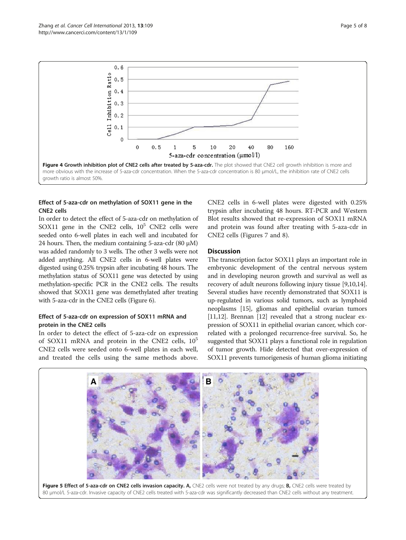<span id="page-4-0"></span>

## Effect of 5-aza-cdr on methylation of SOX11 gene in the CNE2 cells

In order to detect the effect of 5-aza-cdr on methylation of SOX11 gene in the CNE2 cells,  $10^5$  CNE2 cells were seeded onto 6-well plates in each well and incubated for 24 hours. Then, the medium containing 5-aza-cdr  $(80 \mu M)$ was added randomly to 3 wells. The other 3 wells were not added anything. All CNE2 cells in 6-well plates were digested using 0.25% trypsin after incubating 48 hours. The methylation status of SOX11 gene was detected by using methylation-specific PCR in the CNE2 cells. The results showed that SOX11 gene was demethylated after treating with 5-aza-cdr in the CNE2 cells (Figure [6](#page-5-0)).

### Effect of 5-aza-cdr on expression of SOX11 mRNA and protein in the CNE2 cells

In order to detect the effect of 5-aza-cdr on expression of SOX11 mRNA and protein in the CNE2 cells,  $10^5$ CNE2 cells were seeded onto 6-well plates in each well, and treated the cells using the same methods above.

CNE2 cells in 6-well plates were digested with 0.25% trypsin after incubating 48 hours. RT-PCR and Western Blot results showed that re-expression of SOX11 mRNA and protein was found after treating with 5-aza-cdr in CNE2 cells (Figures [7](#page-5-0) and [8](#page-5-0)).

### **Discussion**

The transcription factor SOX11 plays an important role in embryonic development of the central nervous system and in developing neuron growth and survival as well as recovery of adult neurons following injury tissue [\[9,10,14](#page-7-0)]. Several studies have recently demonstrated that SOX11 is up-regulated in various solid tumors, such as lymphoid neoplasms [[15](#page-7-0)], gliomas and epithelial ovarian tumors [[11,12](#page-7-0)]. Brennan [[12](#page-7-0)] revealed that a strong nuclear expression of SOX11 in epithelial ovarian cancer, which correlated with a prolonged recurrence-free survival. So, he suggested that SOX11 plays a functional role in regulation of tumor growth. Hide detected that over-expression of SOX11 prevents tumorigenesis of human glioma initiating



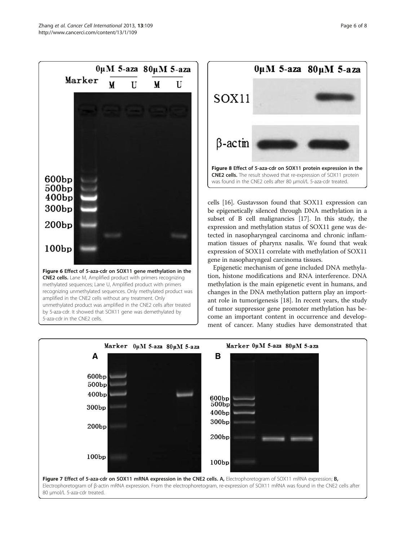<span id="page-5-0"></span>



cells [\[16\]](#page-7-0). Gustavsson found that SOX11 expression can be epigenetically silenced through DNA methylation in a subset of B cell malignancies [\[17\]](#page-7-0). In this study, the expression and methylation status of SOX11 gene was detected in nasopharyngeal carcinoma and chronic inflammation tissues of pharynx nasalis. We found that weak expression of SOX11 correlate with methylation of SOX11 gene in nasopharyngeal carcinoma tissues.

Epigenetic mechanism of gene included DNA methylation, histone modifications and RNA interference. DNA methylation is the main epigenetic event in humans, and changes in the DNA methylation pattern play an important role in tumorigenesis [[18\]](#page-7-0). In recent years, the study of tumor suppressor gene promoter methylation has become an important content in occurrence and development of cancer. Many studies have demonstrated that

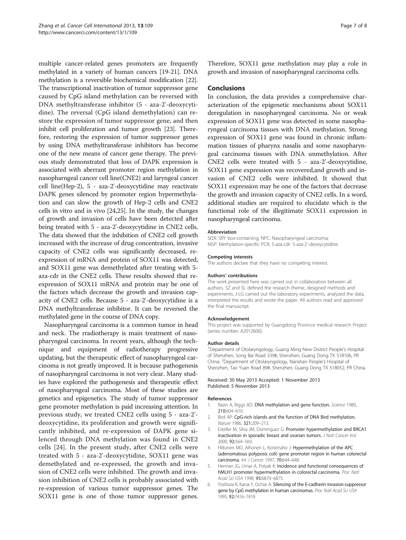<span id="page-6-0"></span>multiple cancer-related genes promoters are frequently methylated in a variety of human cancers [\[19-21\]](#page-7-0). DNA methylation is a reversible biochemical modification [[22](#page-7-0)]. The transcriptional inactivation of tumor suppressor gene caused by CpG island methylation can be reversed with DNA methyltransferase inhibitor (5 - aza-2'-deoxycytidine). The reversal (CpG island demethylation) can restore the expression of tumor suppressor gene, and then inhibit cell proliferation and tumor growth [\[23\]](#page-7-0). Therefore, restoring the expression of tumor suppressor genes by using DNA methyltransferase inhibitors has become one of the new means of cancer gene therapy. The previous study demonstrated that loss of DAPK expression is associated with aberrant promoter region methylation in nasopharngeal cancer cell line(CNE2) and laryngeal cancer cell line(Hep-2), 5 - aza-2'-deoxycytidine may reactivate DAPK genes silenced by promoter region hypermethylation and can slow the growth of Hep-2 cells and CNE2 cells in vitro and in vivo [\[24,25](#page-7-0)]. In the study, the changes of growth and invasion of cells have been detected after being treated with 5 - aza-2'-deoxycytidine in CNE2 cells. The data showed that the inhibition of CNE2 cell growth increased with the increase of drug concentration, invasive capacity of CNE2 cells was significantly decreased, reexpression of mRNA and protein of SOX11 was detected, and SOX11 gene was demethylated after treating with 5 aza-cdr in the CNE2 cells. These results showed that reexpression of SOX11 mRNA and protein may be one of the factors which decrease the growth and invasion capacity of CNE2 cells. Because 5 - aza-2'-deoxycytidine is a DNA methyltransferase inhibitor. It can be reversed the methylated gene in the course of DNA copy.

Nasopharyngeal carcinoma is a common tumor in head and neck. The rradiotherapy is main treatment of nasopharyngeal carcinoma. In recent years, although the technique and equipment of radiotherapy progressive updating, but the therapeutic effect of nasopharyngeal carcinoma is not greatly improved. It is because pathogenesis of nasopharyngeal carcinoma is not very clear. Many studies have explored the pathogenesis and therapeutic effect of nasopharyngeal carcinoma. Most of these studies are genetics and epigenetics. The study of tumor suppressor gene promoter methylation is paid increasing attention. In previous study, we treated CNE2 cells using 5 - aza-2' deoxycytidine, its proliferation and growth were significantly inhibited, and re-expression of DAPK gene silenced through DNA methylation was found in CNE2 cells [\[24](#page-7-0)]. In the present study, after CNE2 cells were treated with 5 - aza-2'-deoxycytidine, SOX11 gene was demethylated and re-expressed, the growth and invasion of CNE2 cells were inhibited. The growth and invasion inhibition of CNE2 cells is probably associated with re-expression of various tumor suppressor genes. The SOX11 gene is one of those tumor suppressor genes. Therefore, SOX11 gene methylation may play a role in growth and invasion of nasopharyngeal carcinoma cells.

#### Conclusions

In conclusion, the data provides a comprehensive characterization of the epigenetic mechanisms about SOX11 deregulation in nasopharyngeal carcinoma. No or weak expression of SOX11 gene was detected in some nasopharyngeal carcinoma tissues with DNA methylation. Strong expression of SOX11 gene was found in chronic inflammation tissues of pharynx nasalis and some nasopharyngeal carcinoma tissues with DNA unmethylation. After CNE2 cells were treated with 5 - aza-2'-deoxycytidine, SOX11 gene expression was recovered,and growth and invasion of CNE2 cells were inhibited. It showed that SOX11 expression may be one of the factors that decrease the growth and invasion capacity of CNE2 cells. In a word, additional studies are required to elucidate which is the functional role of the illegitimate SOX11 expression in nasopharyngeal carcinoma.

#### Abbreviation

SOX: SRY box-containing; NPC: Nasopharyngeal carcinoma; MSP: Methylation-specific PCR; 5-aza-cdr: 5-aza-2'-deoxycytidine.

#### Competing interests

The authors declare that they have no competing interest.

#### Authors' contributions

The work presented here was carried out in collaboration between all authors. SZ and SL defined the research theme, designed methods and experiments; J-LG carried out the laboratory experiments, analyzed the data, interpreted the results and wrote the paper. All authors read and approved the final manuscript.

#### Acknowledgement

This project was supported by Guangdong Province medical research Project (series number: A2012606).

#### Author details

<sup>1</sup>Department of Otolaryngology, Guang Ming New District People's Hospital of Shenzhen, Song Bai Road 339#, Shenzhen, Guang Dong TX 518106, PR China. <sup>2</sup> Department of Otolaryngology, Nanshan People's Hospital of Shenzhen, Tao Yuan Road 89#, Shenzhen, Guang Dong TX 518052, PR China.

#### Received: 30 May 2013 Accepted: 1 November 2013 Published: 5 November 2013

#### References

- 1. Razin A, Riggs AD: DNA methylation and gene function. Science 1980, 210:604–610.
- 2. Bird AP: CpG-rich islands and the function of DNA Bird methylation. Nature 1986, 321:209–213.
- 3. Esteller M, Silva JM, Dominguez G: Promoter hypermethylation and BRCA1 inactivation in sporadic breast and ovarian tumors. J Natl Cancer Inst 2000, 92:564–569.
- 4. Hiltunen MO, Alhonen L, Koistinaho J: Hypermethylation of the APC (adenomatous polyposis coli) gene promoter region in human colorectal carcinoma. Int J Cancer 1997, 70:644–648.
- 5. Herman JG, Umar A, Polyak K: Incidence and functional consequences of hMLH1 promoter hypermethylation in colorectal carcinoma. Proc Natl Acad Sci USA 1998, 95:6870–6875.
- 6. Yoshiura K, Kanai Y, Ochiai A: Silencing of the E-cadherin invasion-suppressor gene by CpG methylation in human carcinomas. Proc Natl Acad Sci USA 1995, 92:7416–7419.